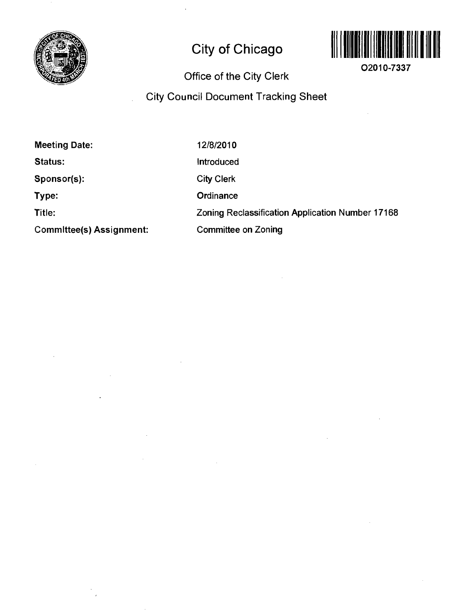

# **City of Chicago**



**O2010-7337** 

# **Office of the City Clerk**

# **City Council Document Tracking Sheet**

| <b>Meeting Date:</b>     | 12/8/2010                                        |
|--------------------------|--------------------------------------------------|
| Status:                  | Introduced                                       |
| Sponsor(s):              | <b>City Clerk</b>                                |
| Type:                    | Ordinance                                        |
| Title:                   | Zoning Reclassification Application Number 17168 |
| Committee(s) Assignment: | <b>Committee on Zoning</b>                       |

 $\Delta$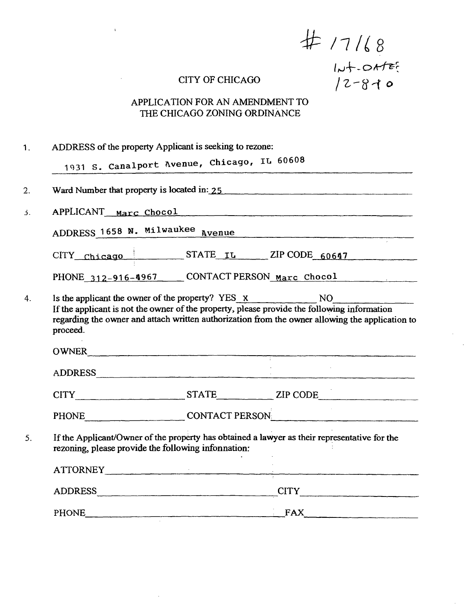$# 17168$ <br>
CITY OF CHICAGO  $12-810$ 

 $\bar{\bf{r}}$ 

 $\bar{\mathcal{A}}$ 

# APPLICATION FOR AN AMENDMENT TO THE CHICAGO ZONING ORDINANCE

|          | ADDRESS of the property Applicant is seeking to rezone:                                                                                                                                                                                                                                  |  |
|----------|------------------------------------------------------------------------------------------------------------------------------------------------------------------------------------------------------------------------------------------------------------------------------------------|--|
|          | 1931 S. Canalport Avenue, Chicago, IL 60608                                                                                                                                                                                                                                              |  |
|          | Ward Number that property is located in: 25                                                                                                                                                                                                                                              |  |
|          | APPLICANT Marc Chocol expressions and the March Chocol                                                                                                                                                                                                                                   |  |
|          | ADDRESS 1658 N. Milwaukee Avenue                                                                                                                                                                                                                                                         |  |
|          | CITY chicago STATE IL ZIP CODE 60647                                                                                                                                                                                                                                                     |  |
|          | PHONE 312-916-4967 CONTACT PERSON Marc Chocol                                                                                                                                                                                                                                            |  |
|          | Is the applicant the owner of the property? YES_x_______________________________<br>NO<br>If the applicant is not the owner of the property, please provide the following information<br>regarding the owner and attach written authorization from the owner allowing the application to |  |
| proceed. |                                                                                                                                                                                                                                                                                          |  |
|          |                                                                                                                                                                                                                                                                                          |  |
|          | OWNER<br>ADDRESS                                                                                                                                                                                                                                                                         |  |
|          | CITY STATE ZIP CODE                                                                                                                                                                                                                                                                      |  |
|          | PHONE CONTACT PERSON                                                                                                                                                                                                                                                                     |  |
|          | If the Applicant/Owner of the property has obtained a lawyer as their representative for the<br>rezoning, please provide the following information:                                                                                                                                      |  |
|          | ATTORNEY                                                                                                                                                                                                                                                                                 |  |
|          | ADDRESS CITY CITY                                                                                                                                                                                                                                                                        |  |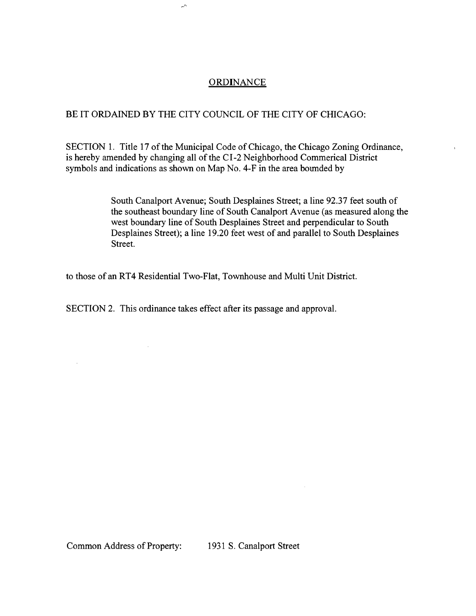#### **ORDINANCE**

#### BE IT ORDAINED BY THE CITY COUNCIL OF THE CITY OF CHICAGO:

 $\mathcal{L}^{\wedge}$ 

SECTION 1. Title 17 of the Municipal Code of Chicago, the Chicago Zoning Ordinance, is hereby amended by changing all of the CI-2 Neighborhood Commerical District symbols and indications as shown on Map No. 4-F in the area bounded by

> South Canalport Avenue; South Desplaines Street; a line 92.37 feet south of the southeast boundary line of South Canalport Avenue (as measured along the west boundary line of South Desplaines Street and perpendicular to South Desplaines Street); a line 19.20 feet west of and parallel to South Desplaines Street.

to those of an RT4 Residential Two-Flat, Townhouse and Multi Unit District.

SECTION 2. This ordinance takes effect after its passage and approval.

 $\bar{z}$ 

 $\mathcal{L}$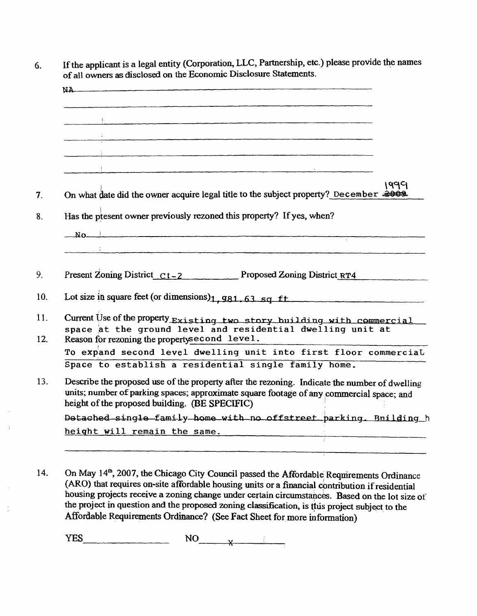| NA                                                                                                                                                                                                                                          |
|---------------------------------------------------------------------------------------------------------------------------------------------------------------------------------------------------------------------------------------------|
| <u>.</u><br>1. marca – Jacques Lander, fransk politiker og den er og det større en den en deligtere i større for de større                                                                                                                  |
|                                                                                                                                                                                                                                             |
|                                                                                                                                                                                                                                             |
|                                                                                                                                                                                                                                             |
| 1999<br>On what date did the owner acquire legal title to the subject property? December                                                                                                                                                    |
| Has the present owner previously rezoned this property? If yes, when?                                                                                                                                                                       |
| $N0$ and $N0$ and $N1$ and $N2$ and $N3$ and $N4$ and $N5$ and $N6$ and $N7$ and $N7$ and $N8$ and $N7$ and $N8$ and $N9$ and $N9$                                                                                                          |
|                                                                                                                                                                                                                                             |
| Present Zoning District $Ct - 2$ Proposed Zoning District RT4<br>Lot size in square feet (or dimensions) $1.981.63$ sq ft                                                                                                                   |
|                                                                                                                                                                                                                                             |
| Current Use of the property Existing two story building with commercial<br>space at the ground level and residential dwelling unit at                                                                                                       |
| Reason for rezoning the property second level.                                                                                                                                                                                              |
| To expand second level dwelling unit into first floor commercial                                                                                                                                                                            |
| Space to establish a residential single family home.                                                                                                                                                                                        |
| Describe the proposed use of the property after the rezoning. Indicate the number of dwelling<br>units; number of parking spaces; approximate square footage of any commercial space; and<br>height of the proposed building. (BE SPECIFIC) |
| Detached single family home with no offstreet parking. Bnilding h                                                                                                                                                                           |
| height will remain the same.                                                                                                                                                                                                                |

14. On May 14<sup>th</sup>, 2007, the Chicago City Council passed the Affordable Reqmirements Ordinance (ARO) that requires on-site affordable housing units or a financial contribution if residential housing projects receive a zoning change under certain circumstances. Based on the lot size of the project in question and the proposed zoning classification, is ttus project subject to the Affordable Requirements Ordinance? (See Fact Sheet for more information)

 $YES$  NO  $X$ 

 $\pm$ 

 $\frac{1}{2}$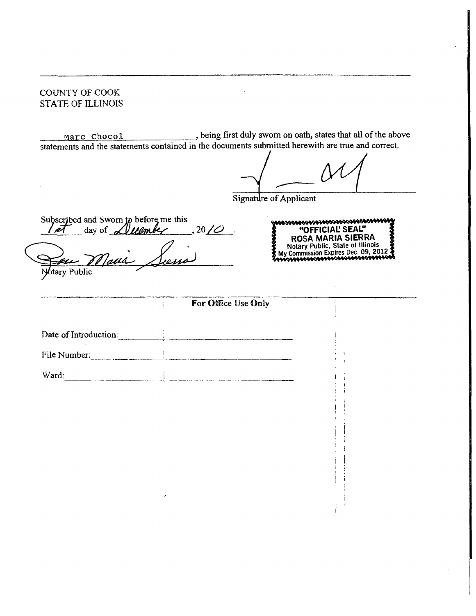#### COUNTY OF COOK STATE OF ILLINOIS

Marc Chocol , being first duly swom on oath, states that all of the above statements and the statements contained in the documents submitted herewith are true and correct.

Signature of Applicant

*Subscribed and Swom to before me this*   $I$   $\ell$  day of  $\ell$ *lllember* . 20/ $\ell$ Maria Siema Ieu

\&&%\&&&@\$@\$\$\$\\$\$\$\$\$\$\$\$\$\$\$\$\$\$\$\$\$\$\$\$\$\$\$ **"OFFICIAL SEAL"**  ROSA MARIA SIERRA Notary Public, State of Illinois My Commission Expires Dec. 09, 2012^

I !

 $\left| \begin{array}{c} 1 \\ 1 \end{array} \right|$ 

btary Public

#### For Office Use Only

Date of Introduction: **Example 2018** File Number: Ward:

ŧ.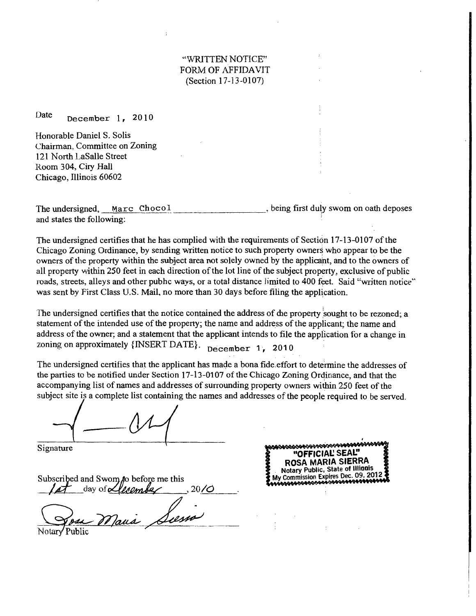#### "WRITTEN NOTICE" FORM OF AFFIDAVIT (Section 17-13-0107)

Date December 1, 2010

Honorable Daniel S. Solis Chairman, Committee on Zoning 121 North LaSalle Street Room 304, Ciry Hall Chicago, Illinois 60602

The undersigned, Marc Chocol and states the following: being first duly swom on oath deposes

The undersigned certifies that he has complied with the requirements of Section 17-13-0107 of the Chicago Zoning Ordinance, by sending written notice to such property owners who appear to be the owners of the property within the subject area not solely owned by the applicant, and to the owners of all property within 250 feet in each direction of the lot line of the subject property, exclusive of public roads, streets, alleys and other pubhc ways, or a total distance limited to 400 feet. Said "written notice" was sent by First Class U.S. Mail, no more than 30 days before filing the application.

The undersigned certifies that the notice contained the address of die property sought to be rezoned; a statement of the intended use of the property; the name and address of the applicant; the name and address of the owner; and a statement that the applicant intends to file the application for a change in zoning on approximately {INSERT DATE}. December 1, 2010

The undersigned certifies that the applicant has made a bona fide, effort to determine the addresses of the parties to be notified under Section  $17-13-0107$  of the Chicago Zoning Ordinance, and that the accompanying list of names and addresses of surrounding property owners within 250 feet of the subject site is a complete list containing the names and addresses of the people required to be served.

Signature

Subscribed and Swom *j*o before me this day of *elecomber*  $, 20/$ Marie Luma

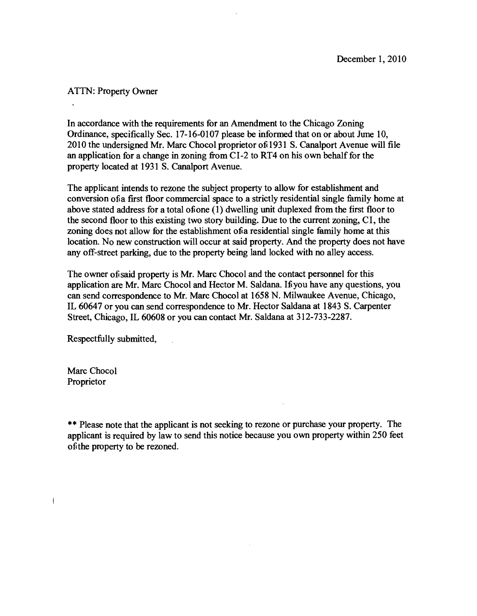#### **ATTN: Property Owner**

 $\ddot{\phantom{a}}$ 

**In accordance with the requirements for an Amendment to the Chicago Zoning Ordinance, specifically Sec. 17-16-0107 please be informed that on or about Jime 10, 2010 the undersigned Mr. Marc Chocol proprietor of 1931 S. Canalport Avenue will file**  an application for a change in zoning from CI-2 to RT4 on his own behalf for the **property located at 1931 S. Canalport Avenue.** 

**The applicant intends to rezone the subject property to allow for establishment and**  conversion of a first floor commercial space to a strictly residential single family home at above stated address for a total of one (1) dwelling unit duplexed from the first floor to **the second floor to this existing two story building. Due to the current zoning, CI, the**  zoning does not allow for the establishment of a residential single family home at this **location. No new construction will occur at said property. And the property does not have any oflf-street parking, due to the property being land locked with no alley access.** 

The owner of said property is Mr. Marc Chocol and the contact personnel for this **application are Mr. Marc Chocol and Hector M. Saldana. If you have any questions, you can send correspondence to Mr. Marc Chocol at 1658 N. Milwaukee Avenue, Chicago, IL 60647 or you can send correspondence to Mr. Hector Saldana at 1843 S. Carpenter Street, Chicago, IL 60608 or you can contact Mr. Saldana at 312-733-2287.** 

**Respectfully submitted.** 

 $\mathcal{L}_{\mathcal{L}}$ 

**Marc Chocol Proprietor** 

 $\mathbf{I}$ 

**\*\* Please note that the applicant is not seeking to rezone or purchase your property. The applicant is required by law to send this notice because you own property within 250 feet of the property to be rezoned.**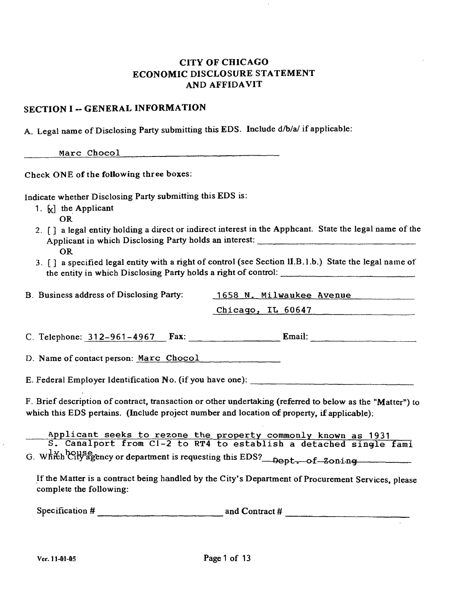## **CITY OF CHICAGO** ECONOMIC DISCLOSURE STATEMENT AND AFFIDAVIT

#### **SECTION I - GENERAL INFORMATION**

A. Legal name of Disclosing Party submitting this EDS. Include d/b/a/ if applicable:

Marc Chocol and Chocol

Check ONE of the following three boxes:

Indicate whether Disclosing Party submitting this EDS is:

- 1.  $\kappa$  the Applicant
	- OR
- 2. [ ] a legal entity holding a direct or indirect interest in the Apphcant. State the legal name of the Applicant in which Disclosing Party holds an interest: OR
- 3. [] a specified legal entity with a right of control (see Section II.B.l.b.) State the legal name of the entity in which Disclosing Party holds a right of control:

| B. Business address of Disclosing Party: | 1658 N. Milwaukee Avenue |
|------------------------------------------|--------------------------|
|                                          | Chicago, IL 60647        |

C. Telephone:  $312-961-4967$  Fax: Email: Email:

D. Name of contact person: Marc Chocol

E. Federal Employer Identification No. (if you have one):

F. Brief description of contract, transaction or other undertaking (referred to below as the "Matter") to which this EDS pertains. (Include project number and location of property, if applicable):

Applicant seeks to rezone the property commonly known as 1931 S. Canalport from C1-2 to RT4 to establish a detached single fami

G. wAiS^hteH^^ency or department is requesting this EDS? ncp t o f Zonin g —

If the Matter is a contract being handled by the City's Department of Procurement Services, please complete the following:

Specification # and Contract #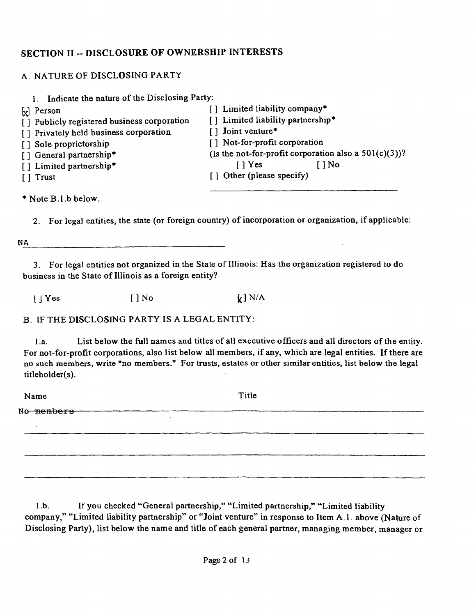# **SECTION II - DISCLOSURE OF OWNERSHIP INTERESTS**

## A. NATURE OF DISCLOSING PARTY

| 1. Indicate the nature of the Disclosing Party:                                                                                                                                                                                                       |                                                                                                                                                                                                                                                                            |
|-------------------------------------------------------------------------------------------------------------------------------------------------------------------------------------------------------------------------------------------------------|----------------------------------------------------------------------------------------------------------------------------------------------------------------------------------------------------------------------------------------------------------------------------|
| $\begin{bmatrix} x \\ y \end{bmatrix}$ Person<br>[] Publicly registered business corporation<br>[] Privately held business corporation<br>[] Sole proprietorship<br>[] General partnership*<br>[] Limited partnership*<br>$\lceil \cdot \rceil$ Trust | [] Limited liability company*<br>[] Limited liability partnership*<br>[] Joint venture*<br>[] Not-for-profit corporation<br>(Is the not-for-profit corporation also a $501(c)(3)$ )?<br>$\lceil \cdot \rceil$ Yes<br>$\lceil \cdot \rceil$ No<br>[] Other (please specify) |
| $*$ Note B.1.b below.                                                                                                                                                                                                                                 |                                                                                                                                                                                                                                                                            |

2. For legal entities, the state (or foreign country) of incorporation or organization, if applicable:

NA

3. For legal entities not organized in the State of Illinois: Has the organization registered to do business in the State of Illinois as a foreign entity?

 $[$  | Yes  $[$  ] No  $f$   $]$  N/A

B. IF THE DISCLOSING PARTY IS A LEGAL ENTITY:

1 .a. List below the full names and titles of all executive officers and all directors of the entity. For not-for-profit corporations, also list below all members, if any, which are legal entities. If there are no such members, write "no members." For trusts, estates or other similar entities, list below the legal titleholder(s).

Name Title No members

1 .b. If you checked "General partnership," "Limited partnership," "Limited liability company," "Limited liability partnership" or "Joint venture" in response to Item A.l . above (Nature of Disclosing Party), list below the name and title of each general partner, managing member, manager or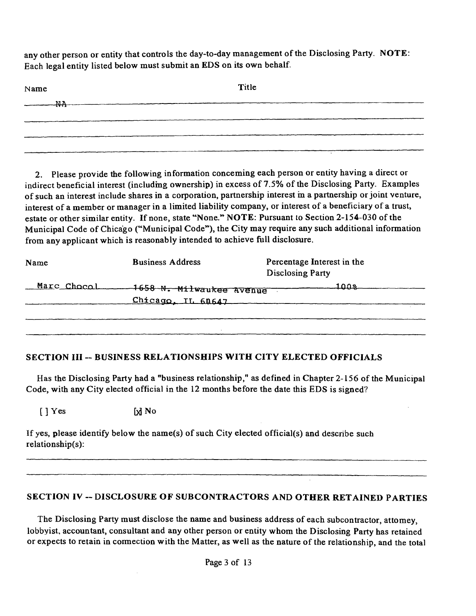any other person or entity that controls the day-to-day management of the Disclosing Party. NOTE: Each legal entity listed below must submit an EDS on its own behalf.

| Name                         | Title |  |
|------------------------------|-------|--|
| $\longrightarrow \mathbb{R}$ |       |  |
|                              |       |  |
|                              |       |  |
|                              |       |  |

2. Please provide the following information conceming each person or entity having a direct or indirect beneficial interest (includmg ownership) in excess of 7.5% of the Disclosing Party. Examples of such an interest include shares in a corporation, partnership interest m a partnership or joint venture, interest of a member or manager in a limited liability company, or interest of a beneficiary of a trust, estate or other similar entity. If none, state "None." NOTE: Pursuant to Section 2-154-030 of the Municipal Code of Chicago ("Municipal Code"), the City may require any such additional information from any applicant which is reasonably intended to achieve fiill disclosure.

| Name        | <b>Business Address</b>                        | Percentage Interest in the<br><b>Disclosing Party</b> |
|-------------|------------------------------------------------|-------------------------------------------------------|
| Marc Chocol | -1658 N. Milwaukee Avenue<br>Chicago, IL 60647 | <u> 100ஆ</u>                                          |
|             |                                                |                                                       |

#### **SECTION III - BUSINESS RELATIONSHIPS WITH CITY ELECTED OFFICIALS**

Has the Disclosing Party had a "business relationship," as defined in Chapter 2-156 of the Municipal Code, with any City elected official in the 12 months before the date this EDS is signed?

 $[ ] Yes$   $[ x ] No$ 

If yes, please identify below the name(s) of such City elected official(s) and describe such relationship(s):

#### SECTION IV -- DISCLOSURE OF SUBCONTRACTORS AND OTHER RETAINED PARTIES

The Disclosing Party must disclose the name and business address of each subcontractor, attomey, lobbyist, accountant, consultant and any other person or entity whom the Disclosing Party has retained or expects to retain in cormection with the Matter, as well as the nature of the relationship, and the total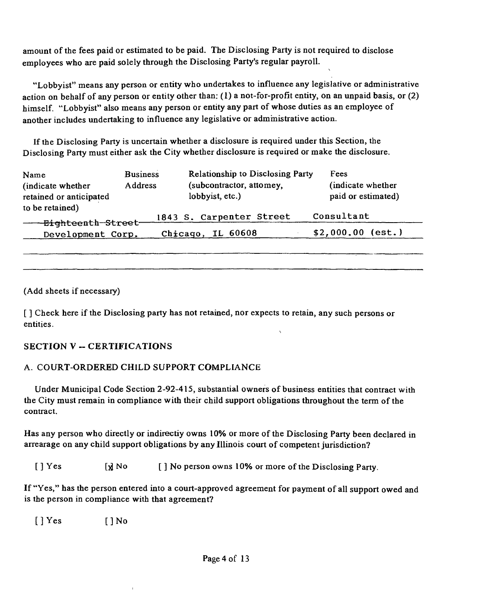amount of the fees paid or estimated to be paid. The Disclosing Party is not required to disclose employees who are paid solely through the Disclosing Party's regular payroll.

"Lobbyist" means any person or entity who undertakes to influence any legislative or administrative action on behalf of any person or entity other than: (1) a not-for-profit entity, on an unpaid basis, or (2) himself. "Lobbyist" also means any person or entity any part of whose duties as an employee of another includes undertaking to influence any legislative or admmistrative action.

If the Disclosing Party is uncertain whether a disclosure is required under this Section, the Disclosing Party must either ask the City whether disclosure is required or make the disclosure.

| Name<br>(indicate whether)<br>retained or anticipated | <b>Business</b><br><b>Address</b> | Relationship to Disclosing Party<br>(subcontractor, attomey,<br>lobbyist, etc.) | Fees<br>(indicate whether)<br>paid or estimated) |
|-------------------------------------------------------|-----------------------------------|---------------------------------------------------------------------------------|--------------------------------------------------|
| to be retained)<br><del>-Eigh</del> teenth-Street-    |                                   | 1843 S. Carpenter Street                                                        | Consultant                                       |
| Development Corp.                                     | Chicago,                          | IL 60608                                                                        | $$2,000.00$ (est.)                               |

(Add sheets if necessary)

[] Check here if the Disclosing party has not retained, nor expects to retain, any such persons or entities.  $\lambda$ 

#### **SECTION V - CERTIFICATIONS**

#### A. COURT-ORDERED CHILD SUPPORT COMPLIANCE

 $\mathbf{I}$ 

Under Municipal Code Section 2-92-415, substantial owners of business entities that contract with the City must remain in compliance with their child support obligations throughout the term of the contract.

Has any person who directly or indirectiy owns 10% or more of the Disclosing Party been declared in arrearage on any child support obligations by any Illinois court of competent jurisdiction?

[ ] Yes [x] No [ ] No person owns 10% or more of the Disclosing Party.

If "Yes," has the person entered into a court-approved agreement for payment of all support owed and is the person in compliance with that agreement?

 $[$  ] Yes  $[$  ] No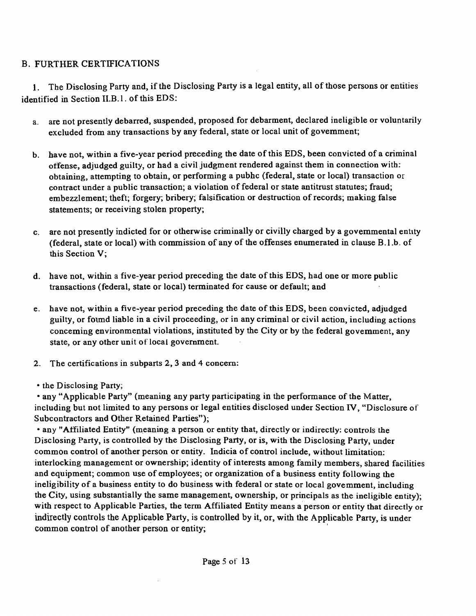# B. FURTHER CERTIFICATIONS

1. The Disclosing Party and, if the Disclosing Party is a legal entity, all of those persons or entities identified in Section II.B.1. of this EDS:

- a. are not presently debarred, suspended, proposed for debarment, declared ineligible or voluntarily excluded from any transactions by any federal, state or local unit of govemment;
- b. have not, within a five-year period preceding the date of this EDS, been convicted of a criminal offense, adjudged guilty, or had a civil judgment rendered against them in connection with; obtaining, attempting to obtain, or performing a pubhc (federal, state or local) transaction or contract under a public transaction; a violation of federal or state antitrust statutes; fraud; embezzlement; theft; forgery; bribery; falsification or destruction of records; making false statements; or receiving stolen property;
- c. are not presently indicted for or otherwise criminally or civilly charged by a govemmental entity (federal, state or local) with commission of any of the offenses enumerated in clause B.1.b. of this Section V:
- d. have not, within a five-year period preceding the date of this EDS, had one or more public transactions (federal, state or local) terminated for cause or default; and
- e. have not, within a five-year period preceding the date ofthis EDS, been convicted, adjudged guilty, or foimd liable in a civil proceeding, or in any criminal or civil action, including actions conceming environmental violations, instituted by the City or by the federal govemment, any state, or any other unit of local government.
- 2. The certifications in subparts 2, 3 and 4 concem:
- the Disclosing Party;

• any "Applicable Party" (meaning any party participating in the performance of the Matter, including but not limited to any persons or legal entities disclosed under Section FV, "Disclosure of Subcontractors and Other Retained Parties");

• any "Affiliated Entity" (meaning a person or entity that, directly or indirectly: controls the Disclosing Party, is controlled by the Disclosing Party, or is, with the Disclosing Party, under common control of another person or entity. Indicia of control include, without limitation: interlocking management or ownership; identity of interests among family members, shared facilities and equipment; common use of employees; or organization of a business entity following the ineligibility of a business entity to do business with federal or state or local govemment, including the City, using substantially the same management, ownership, or principals as the ineligible entity); with respect to Applicable Parties, the term Affiliated Entity means a person or entity that directly or indirectly controls the Applicable Party, is controlled by it, or, with the Applicable Party, is under common control of another person or entity;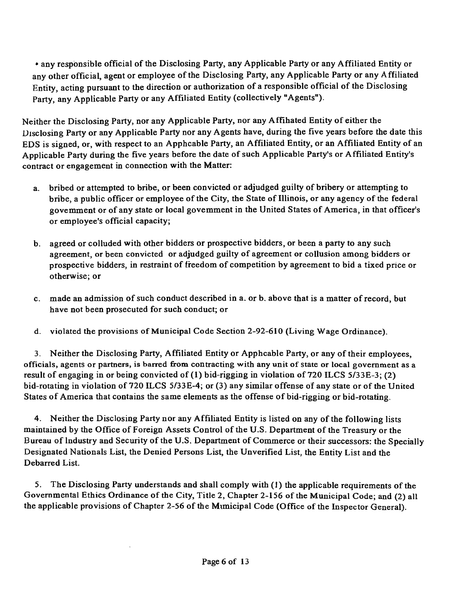• any responsible official of the Disclosing Party, any Applicable Party or any Affiliated Entity or any other official, agent or employee of the Disclosing Party, any Applicable Party or any Affiliated Entity, acting pursuant to the direction or authorization of a responsible official of the Disclosing Party, any Applicable Party or any Affiliated Entity (collectively "Agents").

Neither the Disclosing Party, nor any Applicable Party, nor any Affihated Entity of either the Disclosing Party or any Applicable Party nor any Agents have, during the five years before the date this EDS is signed, or, with respect to an Apphcable Party, an Affiliated Entity, or an Affiliated Entity of an Applicable Party during the five years before the date of such Applicable Party's or Affiliated Entity's contract or engagement in connection with the Matter:

- a. bribed or attempted to bribe, or been convicted or adjudged guilty of bribery or attempting to bribe, a public officer or employee of the City, the State of Illinois, or any agency of the federal govemment or ofany state or local govemment in the United States of America, in that officer's or employee's official capacity;
- b. agreed or colluded with other bidders or prospective bidders, or been a party to any such agreement, or been convicted or adjudged guilty of agreement or collusion among bidders or prospective bidders, in restraint of fireedom of competition by agreement to bid a tixed price or otherwise; or
- c. made an admission of such conduct described in a. or b. above that is a matter of record, but have not been prosecuted for such conduct; or
- d. violated the provisions of Municipal Code Section 2-92-610 (Living Wage Ordinance).

3. Neither the Disclosing Party, Affiliated Entity or Apphcable Party, or any of their employees, officials, agents or partners, is barred from contracting with any unit of state or local government as a result of engaging in or being convicted of (1) bid-rigging in violation of 720 ILCS 5/33E-3; (2) bid-rotating in violation of 720 ILCS 5/33E-4; or (3) any similar offense of any state or of the United States of America that contains the same elements as the offense of bid-rigging or bid-rotating.

4. Neither the Disclosing Party nor any Affiliated Entity is listed on any of the following lists maintained by the Office of Foreign Assets Control of the U.S. Department of the Treasury or the Bureau of Industry and Security of the U.S. Department of Commerce or their successors: the Specially Designated Nationals List, the Denied Persons List, the Unverified List, the Entity List and the Debarred List.

5. The Disclosing Party understands and shall comply with (1) the applicable requirements of the Governmental Ethics Ordinance of the City, Title 2, Chapter 2-156 of the Municipal Code; and (2) all the applicable provisions of Chapter 2-56 of the Mimicipal Code (Office of the Inspector General).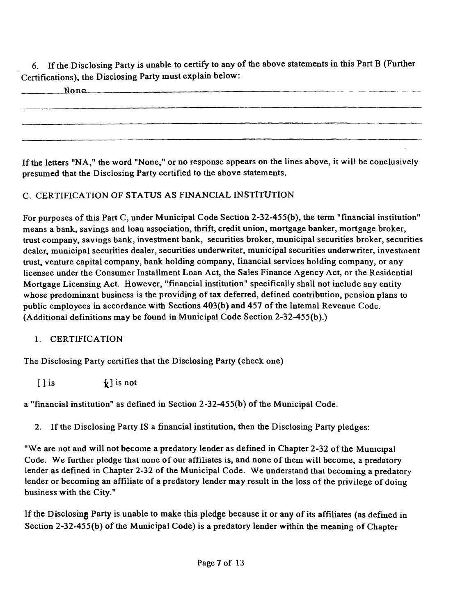6. If the Disclosing Party is unable to certify to any of the above statements in this Part B (Further Certifications), the Disclosing Party must explain below:

None —

If the letters "NA," the word "None," or no response appears on the lines above, it will be conclusively presumed that the Disclosing Party certified to the above statements.

# C. CERTIFICATION OF STATUS AS FINANCIAL INSTITUTION

For purposes of this Part C, under Municipal Code Section 2-32-455(b), the term "financial institution" means a bank, savings and loan association, thrift, credit union, mortgage banker, mortgage broker, trust company, savings bank, investment bank, securities broker, municipal securities broker, securities dealer, municipal securities dealer, securities underwriter, municipal securities underwriter, investment trust, venture capital company, bank holding company, financial services holding company, or any licensee under the Consumer Installment Loan Act, the Sales Finance Agency Act, or the Residential Mortgage Licensing Act. However, "financial institution" specifically shall not include any entity whose predominant business is the providing of tax deferred, defined contribution, pension plans to public employees in accordance with Sections 403(b) and 457 of the Intemal Revenue Code. (Additional definitions may be found in Municipal Code Section 2-32-455(b).)

# 1. CERTIFICATION

The Disclosing Party certifies that the Disclosing Party (check one)

 $[ ]$  is  $[ ]$  is not

a "financial institution" as defined in Section 2-32-455(b) of the Municipal Code.

2. If the Disclosing Party IS a financial institution, then the Disclosing Party pledges:

"We are not and will not become a predatory lender as defined in Chapter 2-32 of the Municipal Code, We further pledge that none of our affiliates is, and none of them will become, a predatory lender as defined in Chapter 2-32 of the Municipal Code. We understand that becoming a predatory lender or becoming an affiliate of a predatory lender may result in the loss of the privilege of doing business with the City."

If the Disclosmg Party is unable to make this pledge because it or any of its affiliates (as defmed in Section 2-32-455(b) of the Municipal Code) is a predatory lender within the meaning of Chapter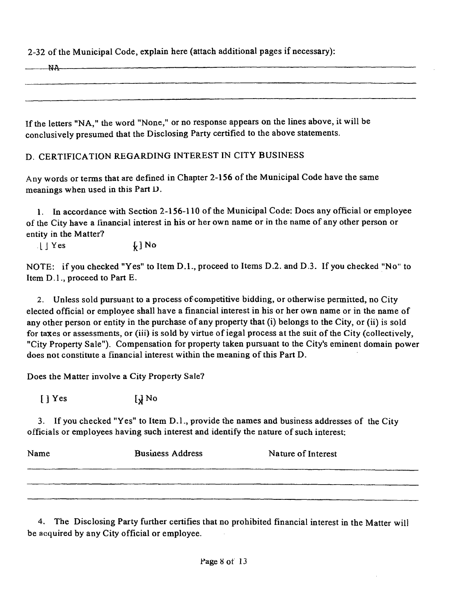2-32 ofthe Municipal Code, explain here (attach additional pages if necessary):

If the letters "NA," the word "None," or no response appears on the lines above, it will be conclusively presumed that the Disclosing Party certified to the above statements.

## D. CERTIFICATION REGARDING INTEREST IN CITY BUSINESS

Any words or terms that are defined in Chapter 2-156 of the Municipal Code have the same meanings when used in this Part D.

1. In accordance with Section 2-156-110 of the Municipal Code: Docs any official or employee of the City have a financial interest in his or her own name or in the name of any other person or entity in the Matter?

 $\downarrow$  | Yes  $\downarrow$  ] No

NOTE: if you checked "Yes" to Item D.L , proceed to Items D.2. and D.3. If you checked "No" to Item D.l. , proceed to Part E.

2. Unless sold pursuant to a process of competitive bidding, or otherwise pennitted, no City elected official or employee shall have a financial interest in his or her own name or in the name of any other person or entity in the purchase of any property that (i) belongs to the City, or (ii) is sold for taxes or assessments, or (iii) is sold by virtue of iegal process at the suit of the City (collectively, "City Property Sale"). Compensation for property taken pursuant to the City's eminent domain power does not constitute a financial interest within the meaning of this Part D.

Does the Matter involve a City Property Sale?

 $\left[\right]$  Yes  $\left[\right]$  No

3. If you checked "Yes" to Item D.l. , provide the names and business addresses of the City officials or employees having such interest and identify the nature of such interest:

| Name | <b>Business Address</b> | Nature of Interest |
|------|-------------------------|--------------------|
|      |                         |                    |
|      |                         |                    |

4. The Disclosing Party further certifies that no prohibited financial interest in the Matter will be acquired by any City official or employee.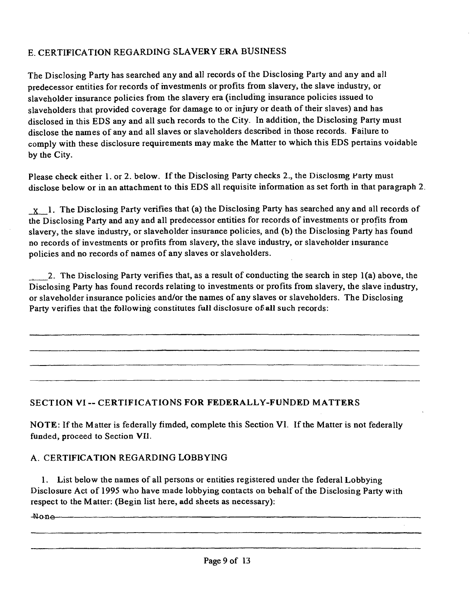# E. CERTIFICATION REGARDING SLAVERY ERA BUSINESS

The Disclosing Party has searched any and all records of the Disclosing Party and any and all predecessor entities for records of mvestmenls or profits from slavery, the slave industry, or slaveholder insurance policies from the slavery era (includmg insurance policies issued to slaveholders that provided coverage for damage to or injury or death of their slaves) and has disclosed in this EDS any and all such records to the City. In addition, the Disclosing Party must disclose the names of any and all slaves or slaveholders described in those records. Failure to comply with these disclosure requirements may make the Matter to which this EDS pertains voidable by the City.

Please check either 1. or 2. below. If the Disclosing Party checks 2., the Disclosmg Party must disclose below or in an attachment to this EDS all requisite information as set forth in that paragraph 2.

X 1. The Disclosing Party verifies that (a) the Disclosing Party has searched any and all records of the Disclosing Party and any and all predecessor entities for records of investments or profits from slavery, the slave industry, or slaveholder insurance policies, and (b) the Disclosing Party has found no records of investments or profits from slavery, the slave industry, or slaveholder insurance policies and no records of names of any slaves or slaveholders.

2. The Disclosing Party verifies that, as a result of conducting the search in step 1(a) above, the Disclosing Party has found records relating to investments or profits from slavery, the slave industry, or slaveholder insurance policies and/or the names of any slaves or slaveholders. The Disclosing Party verifies that the following constitutes full disclosure of all such records:

#### **SECTION VI -- CERTIFICATIONS FOR FEDERALLY-FUNDED MATTERS**

NOTE: If the Matter is federally fimded, complete this Section VI. If the Matter is not federally funded, proceed to Section VII.

#### A. CERTIFICATION REGARDING LOBBYING

1. List below the names of all persons or entities registered under the federal Lobbying Disclosure Act of 1995 who have made lobbying contacts on behalf of the Disclosing Party with respect to the Matter: (Begin list here, add sheets as necessary):

Nona ——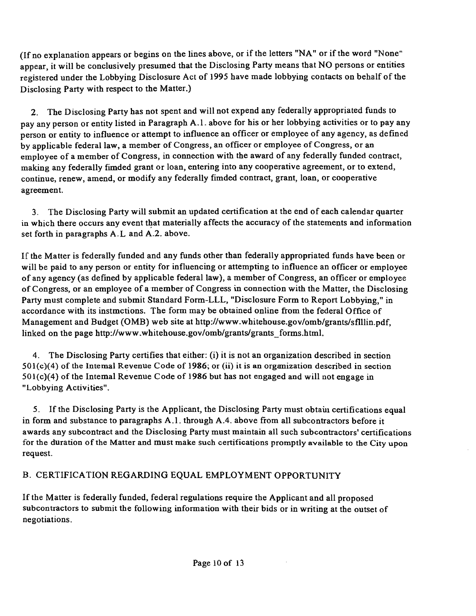(Ifno explanation appears or begins on the lines above, or if the letters "NA" or if the word "None" appear, it will be conclusively presumed that the Disclosing Party means that NO persons or entities registered under the Lobbying Disclosure Act of 1995 have made lobbying contacts on behalf of the Disclosing Party with respect to the Matter.)

2. The Disclosing Party has not spent and will not expend any federally appropriated funds to pay any person or entity listed in Paragraph A.l . above for his or her lobbying activities or to pay any person or entity to influence or attempt to influence an officer or employee of any agency, as defined by applicable federal law, a member of Congress, an officer or employee of Congress, or an employee of a member of Congress, in connection with the award of any federally funded contract, making any federally fimded grant or loan, entering into any cooperative agreement, or to extend, continue, renew, amend, or modify any federally fimded contract, grant, loan, or cooperative agreement.

3. The Disclosing Party will submit an updated certification at the end of each calendar quarter in which there occurs any event that materially affects the accuracy of the statements and information set forth in paragraphs A. L and A.2. above.

If the Matter is federally funded and any funds other than federally appropriated funds have been or will be paid to any person or entity for influencing or attempting to influence an officer or employee of any agency (as defined by applicable federal law), a member of Congress, an officer or employee of Congress, or an employee of a member of Congress in connection with the Matter, the Disclosing Party must complete and submit Standard Form-LLL, "Disclosure Form to Report Lobbying," in accordance with its instmctions. The form may be obtained online from the federal Office of Management and Budget (OMB) web site at http://www.whitehouse.gov/omb/grants/sflllin.pdf, linked on the page http://www.whitehouse.gov/omb/grants/grants\_forms.html.

4. The Disclosing Party certifies that either: (i) it is not an organization described in section  $501(c)(4)$  of the Intemal Revenue Code of 1986; or (ii) it is an organization described in section 501(c)(4) of the Intemal Revenue Code of 1986 but has not engaged and will not engage in "Lobbying Activities".

5. If the Disclosing Party is the Applicant, the Disclosing Party must obtaui certifications equal in form and substance to paragraphs  $A.1$ . through  $A.4$ . above from all subcontractors before it awards any subcontract and the Disclosing Party must maintain all such subcontractors' certifications for the duration ofthe Matter and must make such certifications promptly available to the City upon request.

# B. CERTIFICATION REGARDING EQUAL EMPLOYMENT OPPORTUNITY

If the Matter is federally funded, federal regulations require the Applicant and all proposed subcontractors to submit the following information with their bids or in writing at the outset of negotiations.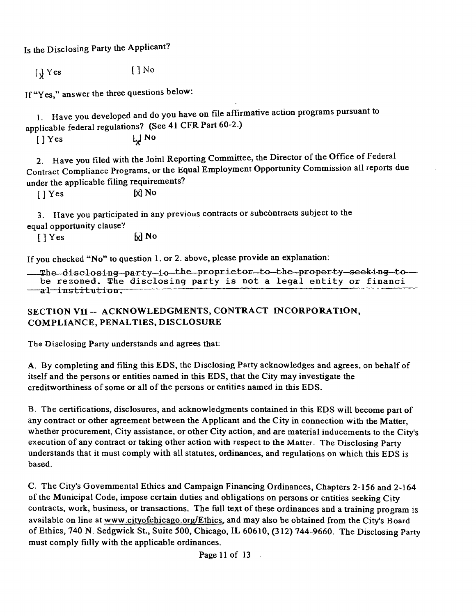Is the Disclosing Party the Applicant?

 $\iint_X Yes$  [] No

If "Yes," answer the three questions below:

1. Have you developed and do you have on file affirmative action programs pursuant to applicable federal regulations? (See 41 CFR Part 60-2.)

 $[$   $]$  Yes  $\begin{bmatrix} \downarrow \downarrow N\end{bmatrix}$ 

2. Have you filed with the Joml Reporting Committee, the Director of the Office of Federal Contract Compliance Programs, or the Equal Employment Opportunity Commission all reports due under the applicable filing requirements?

[ ] Yes [X] No

3. Have you participated in any previous contracts or subcontracts subject to the equal opportunity clause?

 $[$   $]$  Yes  $\qquad \qquad$   $\qquad$   $\qquad$   $\qquad$  No

If you checked "No" to question 1. or 2. above, please provide an explanation:

The disclosing party-io the proprietor-to-the property-seeking to be rezoned. The disclosing party is not a legal entity or financi  $-$ al $-$ institution.

## SECTION VII -- ACKNOWLEDGMENTS, CONTRACT INCORPORATION, COMPLIANCE, PENALTIES, DISCLOSURE

The Disclosing Party understands and agrees that:

A. By completing and filing this EDS, the Disclosing Party acknowledges and agrees, on behalf of itself and the persons or entities named in this EDS, that the City may investigate the creditworthiness of some or all of the persons or entities named in this EDS.

B. The certifications, disclosures, and acknowledgments contained in this EDS will become part of any contract or other agreement between the Applicant and the City in connection with the Matter, whether procurement. City assistance, or other City action, and are material inducements to the City's execution of any contract or taking other action with respect to the Matter. The Disclosing Party understands that it must comply with all statutes, ordinances, and regulations on which this EDS is based.

C. The City's Govemmental Ethics and Campaign Financing Ordinances, Chapters 2-156 and 2-164 of the Municipal Code, impose certain duties and obligations on persons or entities seeking City contracts, work, busmess, or transactions. The full text of these ordinances and a training program is available on line at www.cityofchicago.org/Ethics, and may also be obtained from the City's Board of Ethics, 740 N . Sedgwick St., Suite 500, Chicago, IL 60610, (312) 744-9660. The Disclosing Party must comply fiilly with the applicable ordinances.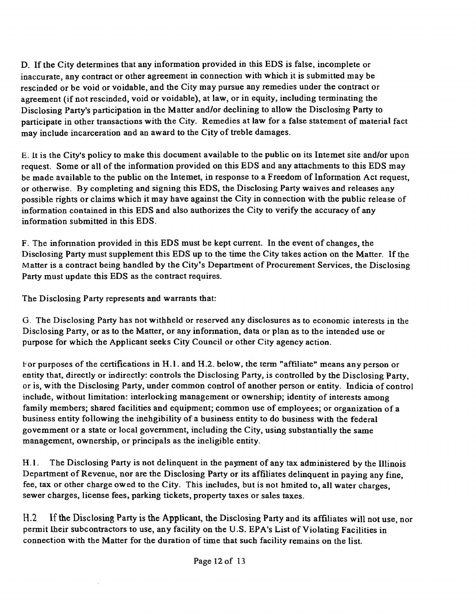D. Ifthe City determines that any information provided in this EDS is false, incomplete or inaccurate, any contract or other agreement in connection with which it is submitted may be rescinded or be void or voidable, and the City may pursue any remedies under the contract or agreement (if not rescinded, void or voidable), at law, or in equity, including terminating the Disclosing Party's participation in the Matter and/or declining to allow the Disclosmg Party to participate in other transactions with the City. Remedies at law for a false statement of material fact may include incarceration and an award to the City of treble damages.

E. It is the City's policy to make this document available to the public on its Intemet site and/or upon request. Some or all of the information provided on this EDS and any attachments to this EDS may be made available to the public on the Intemet, in response to a Freedom of Information Act request, or otherwise. By completing and signing this EDS, the Disclosing Party waives and releases any possible rights or claims which it may have against the City in connection with the public release of information contained in this EDS and also authorizes the City to verify the accuracy of any information submitted in this EDS.

F. The infonnation provided in this EDS must be kept current. In the event of changes, the Disclosing Party must supplement this EDS up to the time the City takes action on the Matter. If the Matter is a contract being handled by the City's Department of Procurement Services, the Disclosing Party must update this EDS as the contract requires.

The Disclosing Party represents and warrants that:

G. The Disclosing Party has not withheld or reserved any disclosures as to economic interests in the Disclosing Party, or as to the Matter, or any infonnation, data or plan as to the intended use or purpose for which the Applicant seeks City Council or other City agency action.

For purposes ofthe certifications in H.l . and H,2. below, the term "affiliate" means any person or entity that, directly or indirectly: controls the Disclosing Party, is controlled by the Disclosing Party, or is, with the Disclosing Party, under common control of another person or entity. Indicia of control include, without limitation: interlocking management or ownership; identity of interests among family members; shared facilities and equipment; common use of employees; or organization of a business entity following the inehgibility of a business entity to do business with the federal govemment or a state or local government, including the City, using substantially the same management, ownership, or principals as the ineligible entity.

H.1. The Disclosing Party is not delinquent in the payment of any tax administered by the Illinois Department of Revenue, nor are the Disclosing Party or its affiliates delinquent in paying any fine, fee, tax or other charge owed to the City. This includes, but is not hmited to, all water charges, sewer charges, license fees, parking tickets, property taxes or sales taxes.

H.2 If the Disclosing Party is the Applicant, the Disclosing Party and its affiliates will not use, nor permit Iheir subcontractors to use, any facility on the U.S. EPA's List of Violating Facilities in connection with the Matter for the duration of time that such facility remains on the list.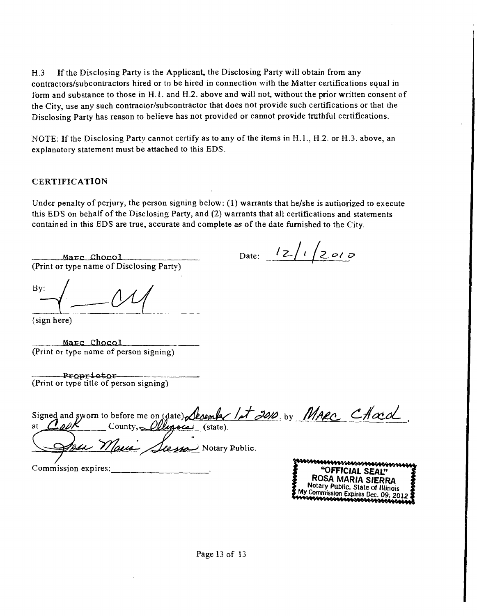H.3 If the Disclosing Party is the Applicant, the Disclosing Party will obtain from any contractors/subcontractors hired or to be hired in connection with the Matter certifications equal in form and substance to those in H. l. and H.2. above and will not, without the prior written consent of the City, use any such contraclor/subcontractor that does not provide such certifications or that die Disclosing Party has reason to believe has not provided or cannot provide tmthful certifications.

NOTE: If the Disclosing Party cannot certify as to any of the items in H.l., H.2. or H.3. above, an explanatory statement must be attached to this EDS.

#### CERTIFICATION

Under penalty of perjury, the person signing below:  $(1)$  warrants that he/she is autiorized to execute this EDS on behalf of the Disclosing Party, and  $(2)$  warrants that all certifications and statements contained in this EDS are true, accurate and complete as of the date furnished to the City.

Marc Chocol (Print or type name of Disclosing Party)

Date:  $12/1/2010$ 

Bv:

(sign here)

Marc Chocol (Print or type name of person signing)

Proprietor (Print or type title of person signing)

| Signed and sworn to before me on (date) Lecenter 1et 2010, by MARC CHocol |                             |
|---------------------------------------------------------------------------|-----------------------------|
| County, Allegocas (state).<br>at                                          |                             |
|                                                                           |                             |
| 124 Marie Seesso Notary Public.                                           |                             |
|                                                                           | -44444444459946499988699999 |

Commission expires:  $\overline{\mathbf{S}}$  "OFFICIAL SEAL"

ROSA MARIA SIERRA Notary Public. State of Illinois My Commission Expires Dec. 09, 201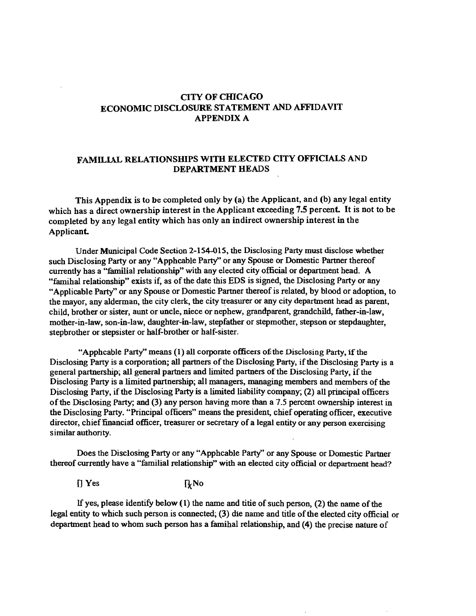#### **CITY OF CfflCAGO ECONOMIC DISCLOSURE STATEMENT AND AFFIDAVIT APPENDIX A**

#### FAMILIAL RELATIONSHIPS WITH ELECTED CITY OFFICIALS AND **DEPARTMENT HEADS**

**This Appendix is to be completed only by (a) the Applicant, and (b) any legal entity**  which has a direct ownership interest in the Applicant exceeding 7.5 percent. It is not to be **completed by any legal entity which has only an indirect ownership interest in the**  Applicant.

Under Municipal Code Section 2-154-015, the Disclosing Party must disclose whether such Disclosing Party or any "Apphcable Party" or any Spouse or Domestic Partner thereof currently has a "familial relationship" with any elected city official or department head. A "famihal relationship" exists if, as of the date this EDS is signed, the Disclosing Party or any "Applicable Party" or any Spouse or Domestic Partner thereof is related, by blood or adoption, to the mayor, any alderman, the city clerk, the city treasurer or any city department head as parent, child, brother or sister, aunt or uncle, niece or nephew, grandparent, grandchild, father-in-law, mother-in-law, son-in-law, daughter-in-law, stepfather or stepmother, stepson or stepdaughter, stepbrother or stepsister or half-brother or half-sister.

"Apphcable Party" means (1) all corporate officers of the Disclosing Party, if the Disclosing Party is a corporation; all partners of the Disclosing Party, if the Disclosing Party is a general partnership; all general partners and limited partners of the Disclosing Party, ifthe Disclosing Party is a limited partnership; all managers, managing members and members of the Disclosmg Party, if the Disclosing Party is a limited liability company; (2) all principal officers of the Disclosing Party, and (3) any person having more than a 7.5 percent ownership interest in the Disclosing Party. "Principal officers" means the president, chief operating officer, executive director, chief financial officer, treasurer or secretary of a legal entity or any person exercising similar authonty.

Does the Disclosmg Party or any "Apphcable Party" or any Spouse or Domestic Partner thereof currently have a "familial relationship" with an elected city official or department head?

 $[$  Yes  $[$ <sub>k</sub>No

If yes, please identify below  $(1)$  the name and titie of such person,  $(2)$  the name of the legal entity to which such person is connected; (3) die name and title of the elected city official or department head to whom such person has a famihal relationship, and  $(4)$  the precise nature of